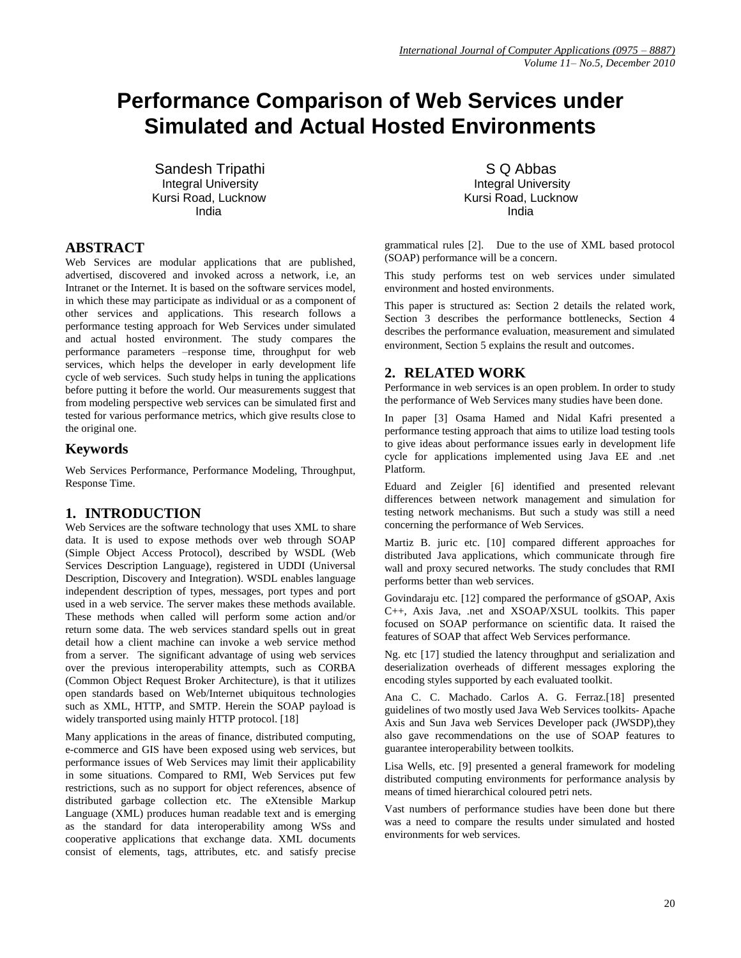# **Performance Comparison of Web Services under Simulated and Actual Hosted Environments**

Sandesh Tripathi National School School School School School School School School School School School School Kursi Road, Lucknow **Kursi Road, Lucknow** Kursi Road, Lucknow e a bhaile ann an t-India. Tha i se an t-India ann an t-India ann an t-India. Tha i se an t-India ann an t-India

## **ABSTRACT**

Web Services are modular applications that are published, advertised, discovered and invoked across a network, i.e, an Intranet or the Internet. It is based on the software services model, in which these may participate as individual or as a component of other services and applications. This research follows a performance testing approach for Web Services under simulated and actual hosted environment. The study compares the performance parameters –response time, throughput for web services, which helps the developer in early development life cycle of web services. Such study helps in tuning the applications before putting it before the world. Our measurements suggest that from modeling perspective web services can be simulated first and tested for various performance metrics, which give results close to the original one.

### **Keywords**

Web Services Performance, Performance Modeling, Throughput, Response Time.

#### **1. INTRODUCTION**

Web Services are the software technology that uses XML to share data. It is used to expose methods over web through SOAP (Simple Object Access Protocol), described by WSDL (Web Services Description Language), registered in UDDI (Universal Description, Discovery and Integration). WSDL enables language independent description of types, messages, port types and port used in a web service. The server makes these methods available. These methods when called will perform some action and/or return some data. The web services standard spells out in great detail how a client machine can invoke a web service method from a server. The significant advantage of using web services over the previous interoperability attempts, such as CORBA (Common Object Request Broker Architecture), is that it utilizes open standards based on Web/Internet ubiquitous technologies such as XML, HTTP, and SMTP. Herein the SOAP payload is widely transported using mainly HTTP protocol. [18]

Many applications in the areas of finance, distributed computing, e-commerce and GIS have been exposed using web services, but performance issues of Web Services may limit their applicability in some situations. Compared to RMI, Web Services put few restrictions, such as no support for object references, absence of distributed garbage collection etc. The eXtensible Markup Language (XML) produces human readable text and is emerging as the standard for data interoperability among WSs and cooperative applications that exchange data. XML documents consist of elements, tags, attributes, etc. and satisfy precise

Integral University **Integral University** 

grammatical rules [2]. Due to the use of XML based protocol (SOAP) performance will be a concern.

This study performs test on web services under simulated environment and hosted environments.

This paper is structured as: Section 2 details the related work, Section 3 describes the performance bottlenecks, Section 4 describes the performance evaluation, measurement and simulated environment, Section 5 explains the result and outcomes.

## **2. RELATED WORK**

Performance in web services is an open problem. In order to study the performance of Web Services many studies have been done.

In paper [3] Osama Hamed and Nidal Kafri presented a performance testing approach that aims to utilize load testing tools to give ideas about performance issues early in development life cycle for applications implemented using Java EE and .net Platform.

Eduard and Zeigler [6] identified and presented relevant differences between network management and simulation for testing network mechanisms. But such a study was still a need concerning the performance of Web Services.

Martiz B. juric etc. [10] compared different approaches for distributed Java applications, which communicate through fire wall and proxy secured networks. The study concludes that RMI performs better than web services.

Govindaraju etc. [12] compared the performance of gSOAP, Axis C++, Axis Java, .net and XSOAP/XSUL toolkits. This paper focused on SOAP performance on scientific data. It raised the features of SOAP that affect Web Services performance.

Ng. etc [17] studied the latency throughput and serialization and deserialization overheads of different messages exploring the encoding styles supported by each evaluated toolkit.

Ana C. C. Machado. Carlos A. G. Ferraz.[18] presented guidelines of two mostly used Java Web Services toolkits- Apache Axis and Sun Java web Services Developer pack (JWSDP),they also gave recommendations on the use of SOAP features to guarantee interoperability between toolkits.

Lisa Wells, etc. [9] presented a general framework for modeling distributed computing environments for performance analysis by means of timed hierarchical coloured petri nets.

Vast numbers of performance studies have been done but there was a need to compare the results under simulated and hosted environments for web services.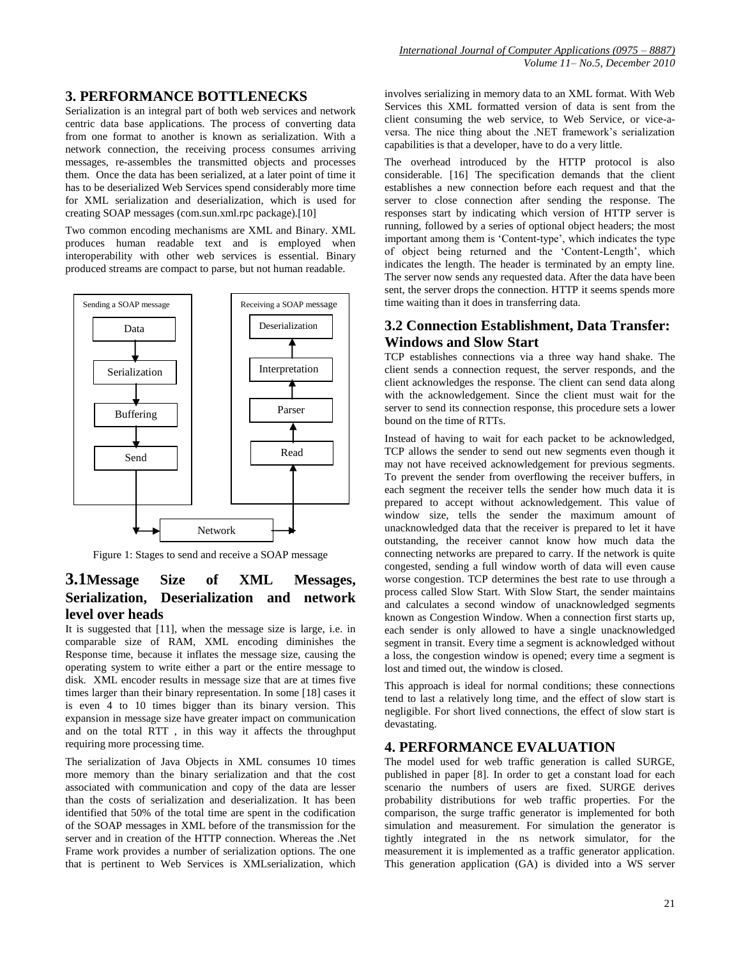## **3. PERFORMANCE BOTTLENECKS**

Serialization is an integral part of both web services and network centric data base applications. The process of converting data from one format to another is known as serialization. With a network connection, the receiving process consumes arriving messages, re-assembles the transmitted objects and processes them. Once the data has been serialized, at a later point of time it has to be deserialized Web Services spend considerably more time for XML serialization and deserialization, which is used for creating SOAP messages (com.sun.xml.rpc package).[10]

Two common encoding mechanisms are XML and Binary. XML produces human readable text and is employed when interoperability with other web services is essential. Binary produced streams are compact to parse, but not human readable.



Figure 1: Stages to send and receive a SOAP message

# **3.1Message Size of XML Messages, Serialization, Deserialization and network level over heads**

It is suggested that [11], when the message size is large, i.e. in comparable size of RAM, XML encoding diminishes the Response time, because it inflates the message size, causing the operating system to write either a part or the entire message to disk. XML encoder results in message size that are at times five times larger than their binary representation. In some [18] cases it is even 4 to 10 times bigger than its binary version. This expansion in message size have greater impact on communication and on the total RTT , in this way it affects the throughput requiring more processing time.

The serialization of Java Objects in XML consumes 10 times more memory than the binary serialization and that the cost associated with communication and copy of the data are lesser than the costs of serialization and deserialization. It has been identified that 50% of the total time are spent in the codification of the SOAP messages in XML before of the transmission for the server and in creation of the HTTP connection. Whereas the .Net Frame work provides a number of serialization options. The one that is pertinent to Web Services is XMLserialization, which

involves serializing in memory data to an XML format. With Web Services this XML formatted version of data is sent from the client consuming the web service, to Web Service, or vice-aversa. The nice thing about the .NET framework"s serialization capabilities is that a developer, have to do a very little.

The overhead introduced by the HTTP protocol is also considerable. [16] The specification demands that the client establishes a new connection before each request and that the server to close connection after sending the response. The responses start by indicating which version of HTTP server is running, followed by a series of optional object headers; the most important among them is 'Content-type', which indicates the type of object being returned and the "Content-Length", which indicates the length. The header is terminated by an empty line. The server now sends any requested data. After the data have been sent, the server drops the connection. HTTP it seems spends more time waiting than it does in transferring data.

# **3.2 Connection Establishment, Data Transfer: Windows and Slow Start**

TCP establishes connections via a three way hand shake. The client sends a connection request, the server responds, and the client acknowledges the response. The client can send data along with the acknowledgement. Since the client must wait for the server to send its connection response, this procedure sets a lower bound on the time of RTTs.

Instead of having to wait for each packet to be acknowledged, TCP allows the sender to send out new segments even though it may not have received acknowledgement for previous segments. To prevent the sender from overflowing the receiver buffers, in each segment the receiver tells the sender how much data it is prepared to accept without acknowledgement. This value of window size, tells the sender the maximum amount of unacknowledged data that the receiver is prepared to let it have outstanding, the receiver cannot know how much data the connecting networks are prepared to carry. If the network is quite congested, sending a full window worth of data will even cause worse congestion. TCP determines the best rate to use through a process called Slow Start. With Slow Start, the sender maintains and calculates a second window of unacknowledged segments known as Congestion Window. When a connection first starts up, each sender is only allowed to have a single unacknowledged segment in transit. Every time a segment is acknowledged without a loss, the congestion window is opened; every time a segment is lost and timed out, the window is closed.

This approach is ideal for normal conditions; these connections tend to last a relatively long time, and the effect of slow start is negligible. For short lived connections, the effect of slow start is devastating.

## **4. PERFORMANCE EVALUATION**

The model used for web traffic generation is called SURGE, published in paper [8]. In order to get a constant load for each scenario the numbers of users are fixed. SURGE derives probability distributions for web traffic properties. For the comparison, the surge traffic generator is implemented for both simulation and measurement. For simulation the generator is tightly integrated in the ns network simulator, for the measurement it is implemented as a traffic generator application. This generation application (GA) is divided into a WS server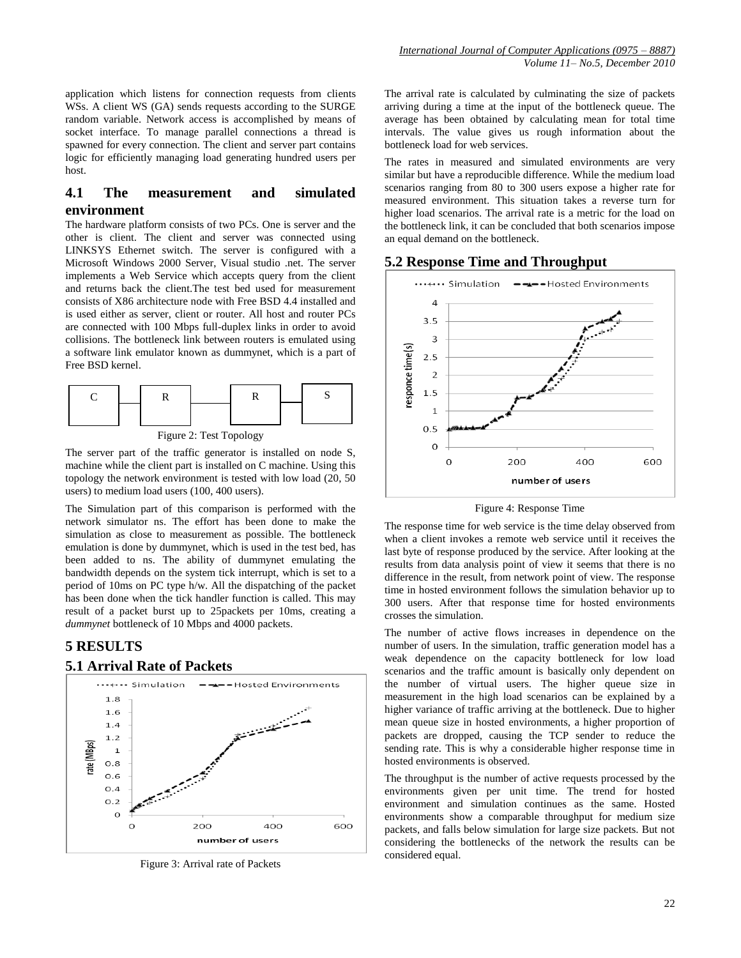application which listens for connection requests from clients WSs. A client WS (GA) sends requests according to the SURGE random variable. Network access is accomplished by means of socket interface. To manage parallel connections a thread is spawned for every connection. The client and server part contains logic for efficiently managing load generating hundred users per host.

## **4.1 The measurement and simulated environment**

The hardware platform consists of two PCs. One is server and the other is client. The client and server was connected using LINKSYS Ethernet switch. The server is configured with a Microsoft Windows 2000 Server, Visual studio .net. The server implements a Web Service which accepts query from the client and returns back the client.The test bed used for measurement consists of X86 architecture node with Free BSD 4.4 installed and is used either as server, client or router. All host and router PCs are connected with 100 Mbps full-duplex links in order to avoid collisions. The bottleneck link between routers is emulated using a software link emulator known as dummynet, which is a part of Free BSD kernel.



Figure 2: Test Topology

The server part of the traffic generator is installed on node S, machine while the client part is installed on C machine. Using this topology the network environment is tested with low load (20, 50 users) to medium load users (100, 400 users).

The Simulation part of this comparison is performed with the network simulator ns. The effort has been done to make the simulation as close to measurement as possible. The bottleneck emulation is done by dummynet, which is used in the test bed, has been added to ns. The ability of dummynet emulating the bandwidth depends on the system tick interrupt, which is set to a period of 10ms on PC type h/w. All the dispatching of the packet has been done when the tick handler function is called. This may result of a packet burst up to 25packets per 10ms, creating a *dummynet* bottleneck of 10 Mbps and 4000 packets.

# **5 RESULTS**

#### **5.1 Arrival Rate of Packets**



Figure 3: Arrival rate of Packets

The arrival rate is calculated by culminating the size of packets arriving during a time at the input of the bottleneck queue. The average has been obtained by calculating mean for total time intervals. The value gives us rough information about the bottleneck load for web services.

The rates in measured and simulated environments are very similar but have a reproducible difference. While the medium load scenarios ranging from 80 to 300 users expose a higher rate for measured environment. This situation takes a reverse turn for higher load scenarios. The arrival rate is a metric for the load on the bottleneck link, it can be concluded that both scenarios impose an equal demand on the bottleneck.

#### **5.2 Response Time and Throughput**



Figure 4: Response Time

The response time for web service is the time delay observed from when a client invokes a remote web service until it receives the last byte of response produced by the service. After looking at the results from data analysis point of view it seems that there is no difference in the result, from network point of view. The response time in hosted environment follows the simulation behavior up to 300 users. After that response time for hosted environments crosses the simulation.

The number of active flows increases in dependence on the number of users. In the simulation, traffic generation model has a weak dependence on the capacity bottleneck for low load scenarios and the traffic amount is basically only dependent on the number of virtual users. The higher queue size in measurement in the high load scenarios can be explained by a higher variance of traffic arriving at the bottleneck. Due to higher mean queue size in hosted environments, a higher proportion of packets are dropped, causing the TCP sender to reduce the sending rate. This is why a considerable higher response time in hosted environments is observed.

The throughput is the number of active requests processed by the environments given per unit time. The trend for hosted environment and simulation continues as the same. Hosted environments show a comparable throughput for medium size packets, and falls below simulation for large size packets. But not considering the bottlenecks of the network the results can be considered equal.